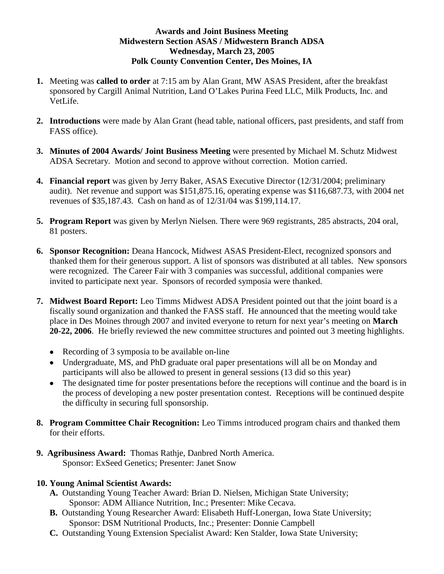### **Awards and Joint Business Meeting Midwestern Section ASAS / Midwestern Branch ADSA Wednesday, March 23, 2005 Polk County Convention Center, Des Moines, IA**

- **1.** Meeting was **called to order** at 7:15 am by Alan Grant, MW ASAS President, after the breakfast sponsored by Cargill Animal Nutrition, Land O'Lakes Purina Feed LLC, Milk Products, Inc. and VetLife.
- **2. Introductions** were made by Alan Grant (head table, national officers, past presidents, and staff from FASS office).
- **3. Minutes of 2004 Awards/ Joint Business Meeting** were presented by Michael M. Schutz Midwest ADSA Secretary. Motion and second to approve without correction. Motion carried.
- **4. Financial report** was given by Jerry Baker, ASAS Executive Director (12/31/2004; preliminary audit). Net revenue and support was \$151,875.16, operating expense was \$116,687.73, with 2004 net revenues of \$35,187.43. Cash on hand as of 12/31/04 was \$199,114.17.
- **5. Program Report** was given by Merlyn Nielsen. There were 969 registrants, 285 abstracts, 204 oral, 81 posters.
- **6. Sponsor Recognition:** Deana Hancock, Midwest ASAS President-Elect, recognized sponsors and thanked them for their generous support. A list of sponsors was distributed at all tables. New sponsors were recognized. The Career Fair with 3 companies was successful, additional companies were invited to participate next year. Sponsors of recorded symposia were thanked.
- **7. Midwest Board Report:** Leo Timms Midwest ADSA President pointed out that the joint board is a fiscally sound organization and thanked the FASS staff. He announced that the meeting would take place in Des Moines through 2007 and invited everyone to return for next year's meeting on **March 20-22, 2006**. He briefly reviewed the new committee structures and pointed out 3 meeting highlights.
	- Recording of 3 symposia to be available on-line
	- Undergraduate, MS, and PhD graduate oral paper presentations will all be on Monday and participants will also be allowed to present in general sessions (13 did so this year)
	- The designated time for poster presentations before the receptions will continue and the board is in the process of developing a new poster presentation contest. Receptions will be continued despite the difficulty in securing full sponsorship.
- **8. Program Committee Chair Recognition:** Leo Timms introduced program chairs and thanked them for their efforts.
- **9. Agribusiness Award:** Thomas Rathje, Danbred North America. Sponsor: ExSeed Genetics; Presenter: Janet Snow

# **10. Young Animal Scientist Awards:**

- **A.** Outstanding Young Teacher Award: [Brian D. Nielsen,](http://www.fass.org/memdir/memberinfo.asp?ID=29841&belongsto=ADSA) Michigan State University; Sponsor: ADM Alliance Nutrition, Inc.; Presenter: Mike Cecava.
- **B.** Outstanding Young Researcher Award: Elisabeth Huff-Lonergan, Iowa State University; Sponsor: DSM Nutritional Products, Inc.; Presenter: Donnie Campbell
- **C.** Outstanding Young Extension Specialist Award: Ken Stalder, Iowa State University;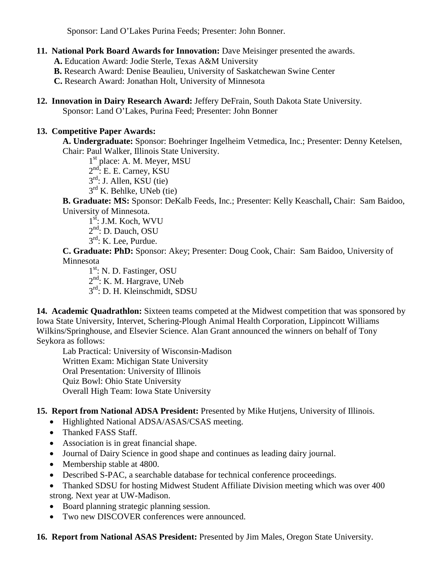Sponsor: Land O'Lakes Purina Feeds; Presenter: John Bonner.

**11. National Pork Board Awards for Innovation:** Dave Meisinger presented the awards.

**A.** Education Award: Jodie Sterle, Texas A&M University

**B.** Research Award: Denise Beaulieu, University of Saskatchewan Swine Center

**C.** Research Award: Jonathan Holt, University of Minnesota

**12. Innovation in Dairy Research Award:** Jeffery DeFrain, South Dakota State University. Sponsor: Land O'Lakes, Purina Feed; Presenter: John Bonner

# **13. Competitive Paper Awards:**

**A. Undergraduate:** Sponsor: Boehringer Ingelheim Vetmedica, Inc.; Presenter: Denny Ketelsen, Chair: Paul Walker, Illinois State University.

1<sup>st</sup> place: A. M. Meyer, MSU

 $2<sup>nd</sup>$ : E. E. Carney, KSU

 $3<sup>rd</sup>$ : J. Allen, KSU (tie)

 $3<sup>rd</sup>$  K. Behlke, UNeb (tie)

**B. Graduate: MS:** Sponsor: DeKalb Feeds, Inc.; Presenter: Kelly Keaschall**,** Chair: Sam Baidoo, University of Minnesota.

 $1<sup>st</sup>$ : J.M. Koch, WVU

- $2<sup>nd</sup>$ : D. Dauch, OSU
- $3^{\text{rd}}$ : K. Lee, Purdue.

**C. Graduate: PhD:** Sponsor: Akey; Presenter: Doug Cook, Chair: Sam Baidoo, University of Minnesota

 $1<sup>st</sup>$ : N. D. Fastinger, OSU 2<sup>nd</sup>: K. M. Hargrave, UNeb 3rd: D. H. Kleinschmidt, SDSU

14. Academic Quadrathlon: Sixteen teams competed at the Midwest competition that was sponsored by Iowa State University, Intervet, Schering-Plough Animal Health Corporation, Lippincott Williams Wilkins/Springhouse, and Elsevier Science. Alan Grant announced the winners on behalf of Tony Seykora as follows:

Lab Practical: University of Wisconsin-Madison Written Exam: Michigan State University Oral Presentation: University of Illinois Quiz Bowl: Ohio State University Overall High Team: Iowa State University

# **15. Report from National ADSA President:** Presented by Mike Hutjens, University of Illinois.

- Highlighted National ADSA/ASAS/CSAS meeting.
- Thanked FASS Staff.
- Association is in great financial shape.
- Journal of Dairy Science in good shape and continues as leading dairy journal.
- Membership stable at 4800.
- Described S-PAC, a searchable database for technical conference proceedings.
- Thanked SDSU for hosting Midwest Student Affiliate Division meeting which was over 400 strong. Next year at UW-Madison.
- Board planning strategic planning session.
- Two new DISCOVER conferences were announced.
- **16. Report from National ASAS President:** Presented by Jim Males, Oregon State University.